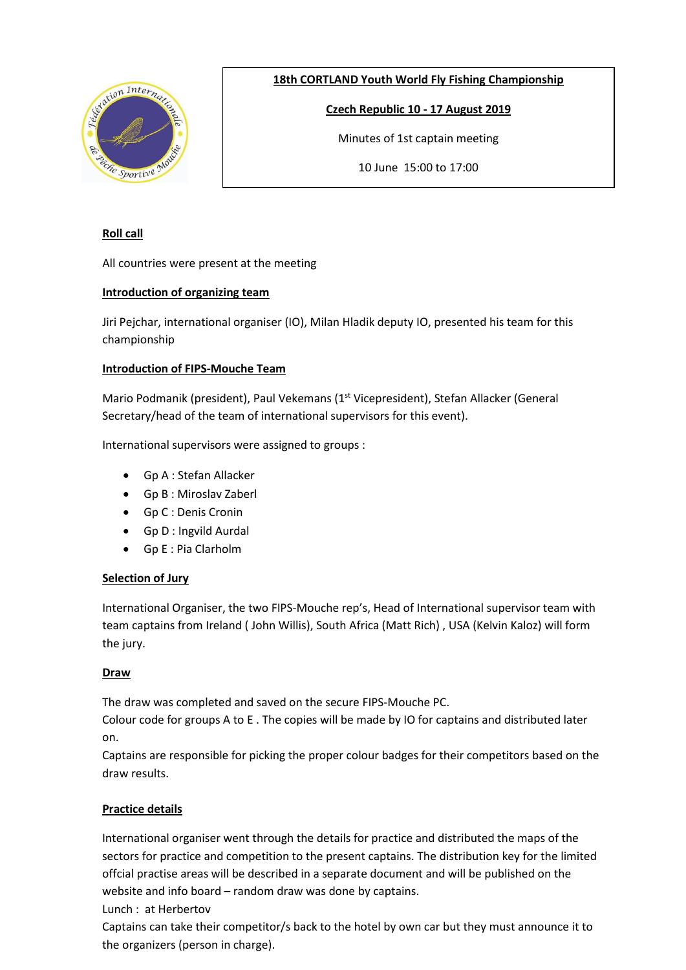

**18th CORTLAND Youth World Fly Fishing Championship**

**Czech Republic 10 - 17 August 2019**

Minutes of 1st captain meeting

10 June 15:00 to 17:00

# **Roll call**

All countries were present at the meeting

## **Introduction of organizing team**

Jiri Pejchar, international organiser (IO), Milan Hladik deputy IO, presented his team for this championship

## **Introduction of FIPS-Mouche Team**

Mario Podmanik (president), Paul Vekemans (1<sup>st</sup> Vicepresident), Stefan Allacker (General Secretary/head of the team of international supervisors for this event).

International supervisors were assigned to groups :

- Gp A : Stefan Allacker
- Gp B : Miroslav Zaberl
- Gp C : Denis Cronin
- Gp D : Ingvild Aurdal
- Gp E : Pia Clarholm

## **Selection of Jury**

International Organiser, the two FIPS-Mouche rep's, Head of International supervisor team with team captains from Ireland ( John Willis), South Africa (Matt Rich) , USA (Kelvin Kaloz) will form the jury.

## **Draw**

The draw was completed and saved on the secure FIPS-Mouche PC.

Colour code for groups A to E . The copies will be made by IO for captains and distributed later on.

Captains are responsible for picking the proper colour badges for their competitors based on the draw results.

## **Practice details**

International organiser went through the details for practice and distributed the maps of the sectors for practice and competition to the present captains. The distribution key for the limited offcial practise areas will be described in a separate document and will be published on the website and info board – random draw was done by captains.

Lunch : at Herbertov

Captains can take their competitor/s back to the hotel by own car but they must announce it to the organizers (person in charge).